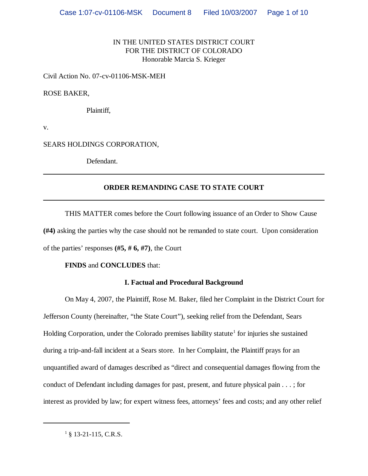# IN THE UNITED STATES DISTRICT COURT FOR THE DISTRICT OF COLORADO Honorable Marcia S. Krieger

Civil Action No. 07-cv-01106-MSK-MEH

### ROSE BAKER,

Plaintiff,

v.

SEARS HOLDINGS CORPORATION,

Defendant.

## **ORDER REMANDING CASE TO STATE COURT**

THIS MATTER comes before the Court following issuance of an Order to Show Cause **(#4)** asking the parties why the case should not be remanded to state court. Upon consideration of the parties' responses **(#5, # 6, #7)**, the Court

## **FINDS** and **CONCLUDES** that:

## **I. Factual and Procedural Background**

On May 4, 2007, the Plaintiff, Rose M. Baker, filed her Complaint in the District Court for Jefferson County (hereinafter, "the State Court"), seeking relief from the Defendant, Sears Holding Corporation, under the Colorado premises liability statute<sup>1</sup> for injuries she sustained during a trip-and-fall incident at a Sears store. In her Complaint, the Plaintiff prays for an unquantified award of damages described as "direct and consequential damages flowing from the conduct of Defendant including damages for past, present, and future physical pain . . . ; for interest as provided by law; for expert witness fees, attorneys' fees and costs; and any other relief

 $1\$ § 13-21-115, C.R.S.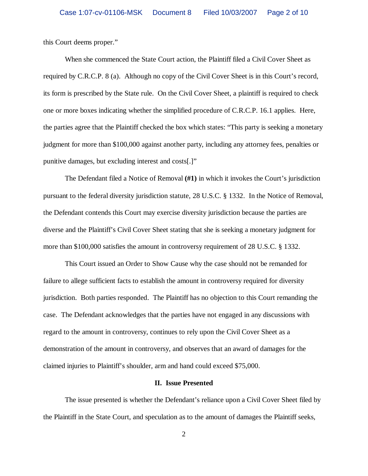this Court deems proper."

When she commenced the State Court action, the Plaintiff filed a Civil Cover Sheet as required by C.R.C.P. 8 (a). Although no copy of the Civil Cover Sheet is in this Court's record, its form is prescribed by the State rule. On the Civil Cover Sheet, a plaintiff is required to check one or more boxes indicating whether the simplified procedure of C.R.C.P. 16.1 applies. Here, the parties agree that the Plaintiff checked the box which states: "This party is seeking a monetary judgment for more than \$100,000 against another party, including any attorney fees, penalties or punitive damages, but excluding interest and costs[.]"

The Defendant filed a Notice of Removal **(#1)** in which it invokes the Court's jurisdiction pursuant to the federal diversity jurisdiction statute, 28 U.S.C. § 1332. In the Notice of Removal, the Defendant contends this Court may exercise diversity jurisdiction because the parties are diverse and the Plaintiff's Civil Cover Sheet stating that she is seeking a monetary judgment for more than \$100,000 satisfies the amount in controversy requirement of 28 U.S.C. § 1332.

This Court issued an Order to Show Cause why the case should not be remanded for failure to allege sufficient facts to establish the amount in controversy required for diversity jurisdiction. Both parties responded. The Plaintiff has no objection to this Court remanding the case. The Defendant acknowledges that the parties have not engaged in any discussions with regard to the amount in controversy, continues to rely upon the Civil Cover Sheet as a demonstration of the amount in controversy, and observes that an award of damages for the claimed injuries to Plaintiff's shoulder, arm and hand could exceed \$75,000.

### **II. Issue Presented**

The issue presented is whether the Defendant's reliance upon a Civil Cover Sheet filed by the Plaintiff in the State Court, and speculation as to the amount of damages the Plaintiff seeks,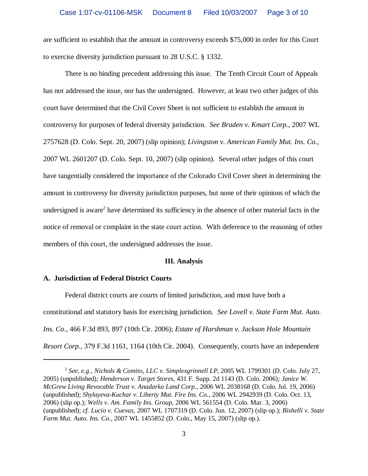are sufficient to establish that the amount in controversy exceeds \$75,000 in order for this Court to exercise diversity jurisdiction pursuant to 28 U.S.C. § 1332.

There is no binding precedent addressing this issue. The Tenth Circuit Court of Appeals has not addressed the issue, nor has the undersigned. However, at least two other judges of this court have determined that the Civil Cover Sheet is not sufficient to establish the amount in controversy for purposes of federal diversity jurisdiction. *See Braden v. Kmart Corp.*, 2007 WL 2757628 (D. Colo. Sept. 20, 2007) (slip opinion); *Livingston v. American Family Mut. Ins. Co.*, 2007 WL 2601207 (D. Colo. Sept. 10, 2007) (slip opinion). Several other judges of this court have tangentially considered the importance of the Colorado Civil Cover sheet in determining the amount in controversy for diversity jurisdiction purposes, but none of their opinions of which the undersigned is aware<sup>2</sup> have determined its sufficiency in the absence of other material facts in the notice of removal or complaint in the state court action. With deference to the reasoning of other members of this court, the undersigned addresses the issue.

#### **III. Analysis**

### **A. Jurisdiction of Federal District Courts**

Federal district courts are courts of limited jurisdiction, and must have both a constitutional and statutory basis for exercising jurisdiction. *See Lovell v. State Farm Mut. Auto. Ins. Co.,* 466 F.3d 893, 897 (10th Cir. 2006); *Estate of Harshman v. Jackson Hole Mountain Resort Corp.,* 379 F.3d 1161, 1164 (10th Cir. 2004). Consequently, courts have an independent

<sup>2</sup> *See, e.g., Nichols & Comito, LLC v. Simplexgrinnell LP,* 2005 WL 1799301 (D. Colo. July 27, 2005) (unpublished)*; Henderson v. Target Stores,* 431 F. Supp. 2d 1143 (D. Colo. 2006)*; Janice W. McGrew Living Revocable Trust v. Anadarko Land Corp.,* 2006 WL 2038168 (D. Colo. Jul. 19, 2006) (unpublished); *Shylayeva-Kuchar v. Liberty Mut. Fire Ins. Co.,* 2006 WL 2942939 (D. Colo. Oct. 13, 2006) (slip op.); *Wells v. Am. Family Ins. Group,* 2006 WL 561554 (D. Colo. Mar. 3, 2006) (unpublished); *cf. Lucio v. Cuevas,* 2007 WL 1707319 (D. Colo. Jun. 12, 2007) (slip op.); *Bishelli v. State Farm Mut. Auto. Ins. Co.,* 2007 WL 1455852 (D. Colo., May 15, 2007) (slip op.).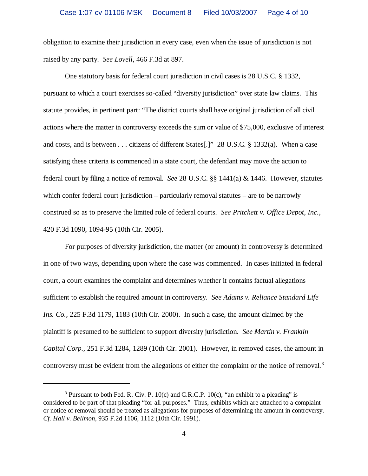obligation to examine their jurisdiction in every case, even when the issue of jurisdiction is not raised by any party. *See Lovell*, 466 F.3d at 897.

One statutory basis for federal court jurisdiction in civil cases is 28 U.S.C. § 1332, pursuant to which a court exercises so-called "diversity jurisdiction" over state law claims. This statute provides, in pertinent part: "The district courts shall have original jurisdiction of all civil actions where the matter in controversy exceeds the sum or value of \$75,000, exclusive of interest and costs, and is between . . . citizens of different States[.]" 28 U.S.C. § 1332(a). When a case satisfying these criteria is commenced in a state court, the defendant may move the action to federal court by filing a notice of removal. *See* 28 U.S.C. §§ 1441(a) & 1446. However, statutes which confer federal court jurisdiction – particularly removal statutes – are to be narrowly construed so as to preserve the limited role of federal courts. *See Pritchett v. Office Depot, Inc.,* 420 F.3d 1090, 1094-95 (10th Cir. 2005).

For purposes of diversity jurisdiction, the matter (or amount) in controversy is determined in one of two ways, depending upon where the case was commenced. In cases initiated in federal court, a court examines the complaint and determines whether it contains factual allegations sufficient to establish the required amount in controversy. *See Adams v. Reliance Standard Life Ins. Co.,* 225 F.3d 1179, 1183 (10th Cir. 2000). In such a case, the amount claimed by the plaintiff is presumed to be sufficient to support diversity jurisdiction. *See Martin v. Franklin Capital Corp.,* 251 F.3d 1284, 1289 (10th Cir. 2001). However, in removed cases, the amount in controversy must be evident from the allegations of either the complaint or the notice of removal.<sup>3</sup>

<sup>&</sup>lt;sup>3</sup> Pursuant to both Fed. R. Civ. P. 10(c) and C.R.C.P. 10(c), "an exhibit to a pleading" is considered to be part of that pleading "for all purposes." Thus, exhibits which are attached to a complaint or notice of removal should be treated as allegations for purposes of determining the amount in controversy. *Cf. Hall v. Bellmon*, 935 F.2d 1106, 1112 (10th Cir. 1991).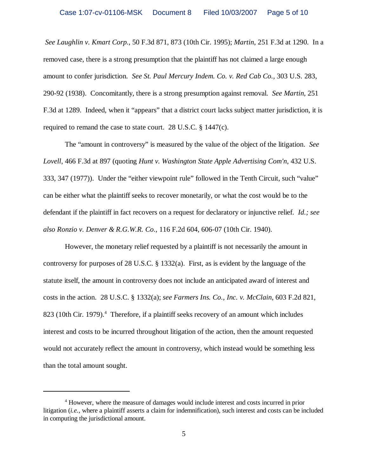*See Laughlin v. Kmart Corp.*, 50 F.3d 871, 873 (10th Cir. 1995); *Martin*, 251 F.3d at 1290. In a removed case, there is a strong presumption that the plaintiff has not claimed a large enough amount to confer jurisdiction. *See St. Paul Mercury Indem. Co. v. Red Cab Co.,* 303 U.S. 283, 290-92 (1938). Concomitantly, there is a strong presumption against removal. *See Martin*, 251 F.3d at 1289. Indeed, when it "appears" that a district court lacks subject matter jurisdiction, it is required to remand the case to state court. 28 U.S.C. § 1447(c).

The "amount in controversy" is measured by the value of the object of the litigation. *See Lovell*, 466 F.3d at 897 (quoting *Hunt v. Washington State Apple Advertising Com'n,* 432 U.S. 333, 347 (1977)). Under the "either viewpoint rule" followed in the Tenth Circuit, such "value" can be either what the plaintiff seeks to recover monetarily, or what the cost would be to the defendant if the plaintiff in fact recovers on a request for declaratory or injunctive relief. *Id.; see also Ronzio v. Denver & R.G.W.R. Co.*, 116 F.2d 604, 606-07 (10th Cir. 1940).

However, the monetary relief requested by a plaintiff is not necessarily the amount in controversy for purposes of 28 U.S.C. § 1332(a). First, as is evident by the language of the statute itself, the amount in controversy does not include an anticipated award of interest and costs in the action. 28 U.S.C. § 1332(a); *see Farmers Ins. Co., Inc. v. McClain*, 603 F.2d 821, 823 (10th Cir. 1979).<sup>4</sup> Therefore, if a plaintiff seeks recovery of an amount which includes interest and costs to be incurred throughout litigation of the action, then the amount requested would not accurately reflect the amount in controversy, which instead would be something less than the total amount sought.

<sup>&</sup>lt;sup>4</sup> However, where the measure of damages would include interest and costs incurred in prior litigation (*i.e.*, where a plaintiff asserts a claim for indemnification), such interest and costs can be included in computing the jurisdictional amount.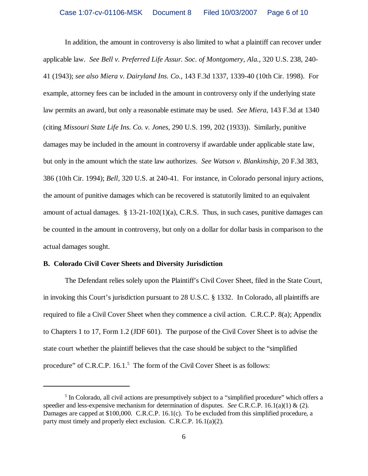In addition, the amount in controversy is also limited to what a plaintiff can recover under applicable law. *See Bell v. Preferred Life Assur. Soc. of Montgomery, Ala.*, 320 U.S. 238, 240- 41 (1943); *see also Miera v. Dairyland Ins. Co.,* 143 F.3d 1337, 1339-40 (10th Cir. 1998). For example, attorney fees can be included in the amount in controversy only if the underlying state law permits an award, but only a reasonable estimate may be used. *See Miera*, 143 F.3d at 1340 (citing *Missouri State Life Ins. Co. v. Jones*, 290 U.S. 199, 202 (1933)). Similarly, punitive damages may be included in the amount in controversy if awardable under applicable state law, but only in the amount which the state law authorizes. *See Watson v. Blankinship*, 20 F.3d 383, 386 (10th Cir. 1994); *Bell*, 320 U.S. at 240-41. For instance, in Colorado personal injury actions, the amount of punitive damages which can be recovered is statutorily limited to an equivalent amount of actual damages. § 13-21-102(1)(a), C.R.S. Thus, in such cases, punitive damages can be counted in the amount in controversy, but only on a dollar for dollar basis in comparison to the actual damages sought.

#### **B. Colorado Civil Cover Sheets and Diversity Jurisdiction**

The Defendant relies solely upon the Plaintiff's Civil Cover Sheet, filed in the State Court, in invoking this Court's jurisdiction pursuant to 28 U.S.C. § 1332. In Colorado, all plaintiffs are required to file a Civil Cover Sheet when they commence a civil action. C.R.C.P. 8(a); Appendix to Chapters 1 to 17, Form 1.2 (JDF 601). The purpose of the Civil Cover Sheet is to advise the state court whether the plaintiff believes that the case should be subject to the "simplified procedure" of C.R.C.P.  $16.1$ .<sup>5</sup> The form of the Civil Cover Sheet is as follows:

<sup>&</sup>lt;sup>5</sup> In Colorado, all civil actions are presumptively subject to a "simplified procedure" which offers a speedier and less-expensive mechanism for determination of disputes. *See* C.R.C.P. 16.1(a)(1) & (2). Damages are capped at \$100,000. C.R.C.P. 16.1(c). To be excluded from this simplified procedure, a party must timely and properly elect exclusion. C.R.C.P. 16.1(a)(2).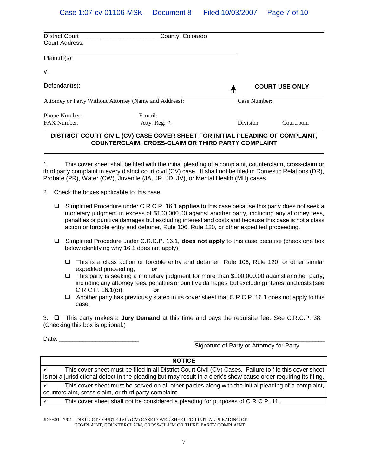| <b>District Court</b>                                  | County, Colorado                                                                                                                           |                       |           |  |
|--------------------------------------------------------|--------------------------------------------------------------------------------------------------------------------------------------------|-----------------------|-----------|--|
| Court Address:                                         |                                                                                                                                            |                       |           |  |
| Plaintiff(s):                                          |                                                                                                                                            |                       |           |  |
| Μ.                                                     |                                                                                                                                            |                       |           |  |
| Defendant(s):                                          |                                                                                                                                            | <b>COURT USE ONLY</b> |           |  |
| Attorney or Party Without Attorney (Name and Address): |                                                                                                                                            | Case Number:          |           |  |
| Phone Number:                                          | $E$ -mail:                                                                                                                                 |                       |           |  |
| <b>FAX Number:</b>                                     | Atty. Reg. #:                                                                                                                              | Division              | Courtroom |  |
|                                                        | DISTRICT COURT CIVIL (CV) CASE COVER SHEET FOR INITIAL PLEADING OF COMPLAINT,<br><b>COUNTERCLAIM, CROSS-CLAIM OR THIRD PARTY COMPLAINT</b> |                       |           |  |

1. This cover sheet shall be filed with the initial pleading of a complaint, counterclaim, cross-claim or third party complaint in every district court civil (CV) case. It shall not be filed in Domestic Relations (DR), Probate (PR), Water (CW), Juvenile (JA, JR, JD, JV), or Mental Health (MH) cases.

- 2. Check the boxes applicable to this case.
	- Simplified Procedure under C.R.C.P. 16.1 **applies** to this case because this party does not seek a monetary judgment in excess of \$100,000.00 against another party, including any attorney fees, penalties or punitive damages but excluding interest and costs and because this case is not a class action or forcible entry and detainer, Rule 106, Rule 120, or other expedited proceeding.
	- Simplified Procedure under C.R.C.P. 16.1, **does not apply** to this case because (check one box below identifying why 16.1 does not apply):
		- This is a class action or forcible entry and detainer, Rule 106, Rule 120, or other similar expedited proceeding, **or**
		- $\Box$  This party is seeking a monetary judgment for more than \$100,000.00 against another party, including any attorney fees, penalties or punitive damages, but excluding interest and costs (see C.R.C.P. 16.1(c)), **or**
		- $\Box$  Another party has previously stated in its cover sheet that C.R.C.P. 16.1 does not apply to this case.

3. This party makes a **Jury Demand** at this time and pays the requisite fee. See C.R.C.P. 38. (Checking this box is optional.)

Date: \_\_\_\_\_\_\_\_\_\_\_\_\_\_\_\_\_\_\_\_\_\_\_\_ \_\_\_\_\_\_\_\_\_\_\_\_\_\_\_\_\_\_\_\_\_\_\_\_\_\_\_\_\_\_\_\_\_\_\_\_\_\_\_\_\_\_

Signature of Party or Attorney for Party

| <b>NOTICE</b>                                                                                                                                                                                                                |  |  |  |
|------------------------------------------------------------------------------------------------------------------------------------------------------------------------------------------------------------------------------|--|--|--|
| This cover sheet must be filed in all District Court Civil (CV) Cases. Failure to file this cover sheet<br>is not a jurisdictional defect in the pleading but may result in a clerk's show cause order requiring its filing. |  |  |  |
| This cover sheet must be served on all other parties along with the initial pleading of a complaint,<br>counterclaim, cross-claim, or third party complaint.                                                                 |  |  |  |
| This cover sheet shall not be considered a pleading for purposes of C.R.C.P. 11.                                                                                                                                             |  |  |  |

JDF 601 7/04 DISTRICT COURT CIVIL (CV) CASE COVER SHEET FOR INITIAL PLEADING OF COMPLAINT, COUNTERCLAIM, CROSS-CLAIM OR THIRD PARTY COMPLAINT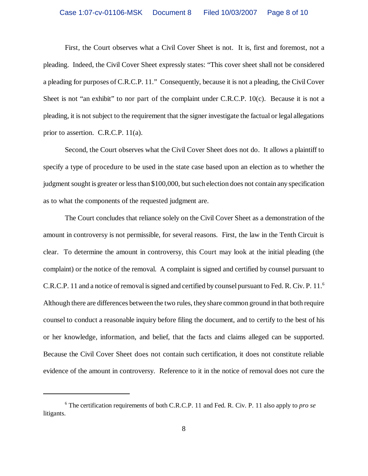First, the Court observes what a Civil Cover Sheet is not. It is, first and foremost, not a pleading. Indeed, the Civil Cover Sheet expressly states: "This cover sheet shall not be considered a pleading for purposes of C.R.C.P. 11." Consequently, because it is not a pleading, the Civil Cover Sheet is not "an exhibit" to nor part of the complaint under C.R.C.P. 10(c). Because it is not a pleading, it is not subject to the requirement that the signer investigate the factual or legal allegations prior to assertion. C.R.C.P. 11(a).

Second, the Court observes what the Civil Cover Sheet does not do. It allows a plaintiff to specify a type of procedure to be used in the state case based upon an election as to whether the judgment sought is greater or less than \$100,000, but such election does not contain any specification as to what the components of the requested judgment are.

The Court concludes that reliance solely on the Civil Cover Sheet as a demonstration of the amount in controversy is not permissible, for several reasons. First, the law in the Tenth Circuit is clear. To determine the amount in controversy, this Court may look at the initial pleading (the complaint) or the notice of the removal. A complaint is signed and certified by counsel pursuant to C.R.C.P. 11 and a notice of removal is signed and certified by counsel pursuant to Fed. R. Civ. P. 11.<sup>6</sup> Although there are differences between the two rules, they share common ground in that both require counsel to conduct a reasonable inquiry before filing the document, and to certify to the best of his or her knowledge, information, and belief, that the facts and claims alleged can be supported. Because the Civil Cover Sheet does not contain such certification, it does not constitute reliable evidence of the amount in controversy. Reference to it in the notice of removal does not cure the

<sup>6</sup> The certification requirements of both C.R.C.P. 11 and Fed. R. Civ. P. 11 also apply to *pro se* litigants.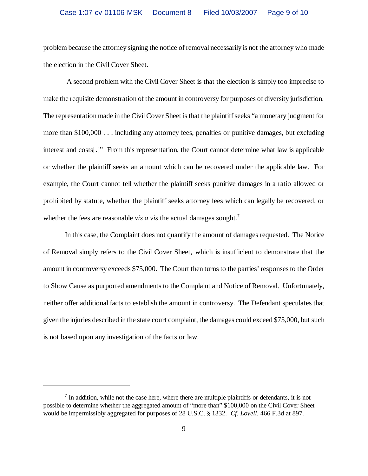problem because the attorney signing the notice of removal necessarily is not the attorney who made the election in the Civil Cover Sheet.

 A second problem with the Civil Cover Sheet is that the election is simply too imprecise to make the requisite demonstration of the amount in controversy for purposes of diversity jurisdiction. The representation made in the Civil Cover Sheet is that the plaintiff seeks "a monetary judgment for more than \$100,000 . . . including any attorney fees, penalties or punitive damages, but excluding interest and costs[.]" From this representation, the Court cannot determine what law is applicable or whether the plaintiff seeks an amount which can be recovered under the applicable law. For example, the Court cannot tell whether the plaintiff seeks punitive damages in a ratio allowed or prohibited by statute, whether the plaintiff seeks attorney fees which can legally be recovered, or whether the fees are reasonable *vis a vis* the actual damages sought.<sup>7</sup>

In this case, the Complaint does not quantify the amount of damages requested. The Notice of Removal simply refers to the Civil Cover Sheet, which is insufficient to demonstrate that the amount in controversy exceeds \$75,000. The Court then turns to the parties' responses to the Order to Show Cause as purported amendments to the Complaint and Notice of Removal. Unfortunately, neither offer additional facts to establish the amount in controversy. The Defendant speculates that given the injuries described in the state court complaint, the damages could exceed \$75,000, but such is not based upon any investigation of the facts or law.

 $<sup>7</sup>$  In addition, while not the case here, where there are multiple plaintiffs or defendants, it is not</sup> possible to determine whether the aggregated amount of "more than" \$100,000 on the Civil Cover Sheet would be impermissibly aggregated for purposes of 28 U.S.C. § 1332. *Cf. Lovell*, 466 F.3d at 897.